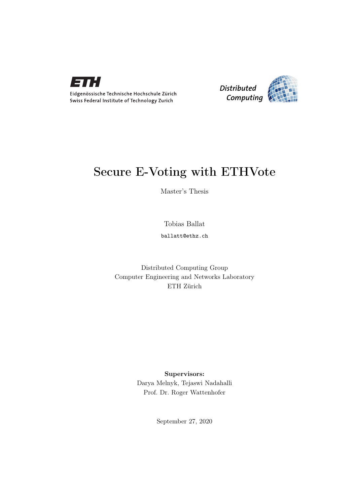

Eidgenössische Technische Hochschule Zürich Swiss Federal Institute of Technology Zurich



## Secure E-Voting with ETHVote

Master's Thesis

Tobias Ballat

ballatt@ethz.ch

Distributed Computing Group Computer Engineering and Networks Laboratory ETH Zürich

> Supervisors: Darya Melnyk, Tejaswi Nadahalli Prof. Dr. Roger Wattenhofer

> > September 27, 2020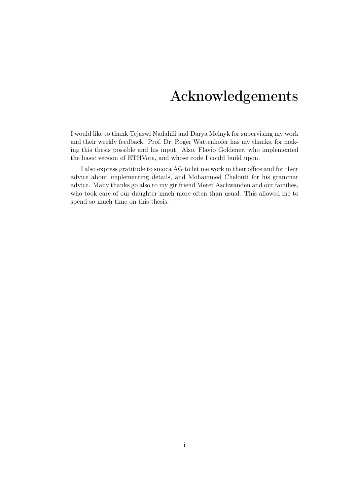## Acknowledgements

<span id="page-1-0"></span>I would like to thank Tejaswi Nadahlli and Darya Melnyk for supervising my work and their weekly feedback. Prof. Dr. Roger Wattenhofer has my thanks, for making this thesis possible and his input. Also, Flavio Goldener, who implemented the basic version of ETHVote, and whose code I could build upon.

I also express gratitude to smoca AG to let me work in their office and for their advice about implementing details, and Mohammed Chelouti for his grammar advice. Many thanks go also to my girlfriend Meret Aschwanden and our families, who took care of our daughter much more often than usual. This allowed me to spend so much time on this thesis.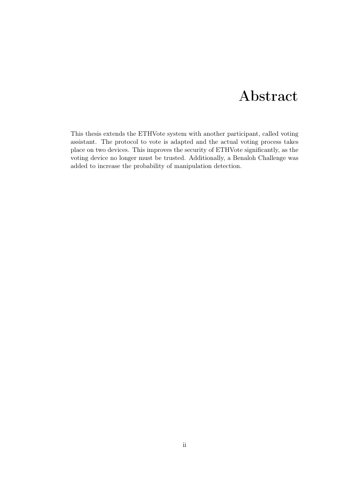## Abstract

<span id="page-2-0"></span>This thesis extends the ETHVote system with another participant, called voting assistant. The protocol to vote is adapted and the actual voting process takes place on two devices. This improves the security of ETHVote significantly, as the voting device no longer must be trusted. Additionally, a Benaloh Challenge was added to increase the probability of manipulation detection.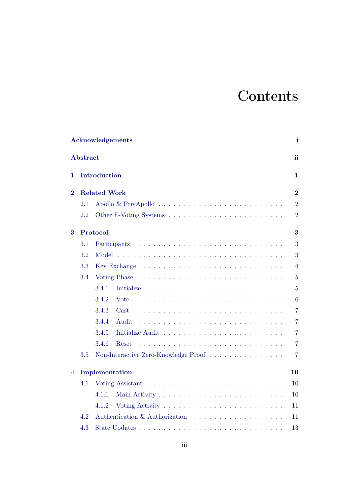# **Contents**

| <b>Acknowledgements</b> |                 |                                                                                               |                |  |
|-------------------------|-----------------|-----------------------------------------------------------------------------------------------|----------------|--|
|                         | <b>Abstract</b> |                                                                                               | ii             |  |
| 1                       |                 | Introduction                                                                                  | 1              |  |
| $\bf{2}$                |                 | <b>Related Work</b>                                                                           | $\overline{2}$ |  |
|                         | $2.1\,$         |                                                                                               | $\overline{2}$ |  |
|                         | 2.2             |                                                                                               | $\mathbf{2}$   |  |
| 3                       |                 | Protocol                                                                                      | 3              |  |
|                         | 3.1             |                                                                                               | 3              |  |
|                         | 3.2             |                                                                                               | 3              |  |
|                         | 3.3             |                                                                                               | 4              |  |
|                         | 3.4             |                                                                                               | $\overline{5}$ |  |
|                         |                 | 3.4.1                                                                                         | $\overline{5}$ |  |
|                         |                 | 3.4.2                                                                                         | 6              |  |
|                         |                 | 3.4.3                                                                                         | $\overline{7}$ |  |
|                         |                 | 3.4.4<br>Audit                                                                                | $\overline{7}$ |  |
|                         |                 | 3.4.5                                                                                         | $\overline{7}$ |  |
|                         |                 | 3.4.6<br>Reset                                                                                | $\overline{7}$ |  |
|                         | 3.5             | Non-Interactive Zero-Knowledge Proof                                                          | $\overline{7}$ |  |
| 4                       |                 | Implementation                                                                                | 10             |  |
|                         | 4.1             | Voting Assistant                                                                              | 10             |  |
|                         |                 | 4.1.1                                                                                         | 10             |  |
|                         |                 | 4.1.2                                                                                         | 11             |  |
|                         | 4.2             | Authentication & Authorization                                                                | 11             |  |
|                         | 4.3             | State Updates $\dots \dots \dots \dots \dots \dots \dots \dots \dots \dots \dots \dots \dots$ | 13             |  |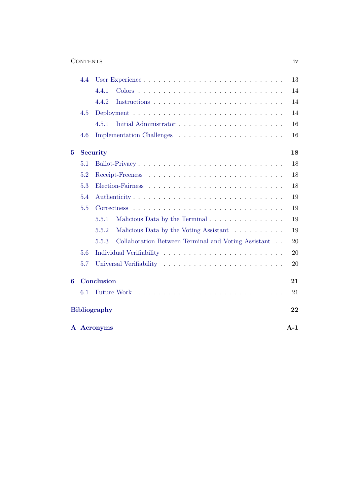### Contents iv

|                | 4.4 | User Experience                                                                                                 | 13    |
|----------------|-----|-----------------------------------------------------------------------------------------------------------------|-------|
|                |     | 4.4.1                                                                                                           | 14    |
|                |     | 4.4.2                                                                                                           | 14    |
|                | 4.5 |                                                                                                                 | 14    |
|                |     | 4.5.1                                                                                                           | 16    |
|                | 4.6 |                                                                                                                 | 16    |
| $\overline{5}$ |     | <b>Security</b>                                                                                                 | 18    |
|                | 5.1 | Ballot-Privacy                                                                                                  | 18    |
|                | 5.2 |                                                                                                                 | 18    |
|                | 5.3 |                                                                                                                 | 18    |
|                | 5.4 |                                                                                                                 | 19    |
|                | 5.5 |                                                                                                                 | 19    |
|                |     | Malicious Data by the Terminal<br>5.5.1                                                                         | 19    |
|                |     | Malicious Data by the Voting Assistant<br>5.5.2                                                                 | 19    |
|                |     | 5.5.3<br>Collaboration Between Terminal and Voting Assistant                                                    | 20    |
|                | 5.6 |                                                                                                                 | 20    |
|                | 5.7 |                                                                                                                 | 20    |
| 6              |     | Conclusion                                                                                                      | 21    |
|                | 6.1 | Future Work Indian Process and Allen Contract of Terms and Terms and Terms and Terms and Terms and Terms and Te | 21    |
|                |     | <b>Bibliography</b>                                                                                             | 22    |
|                |     | A Acronyms                                                                                                      | $A-1$ |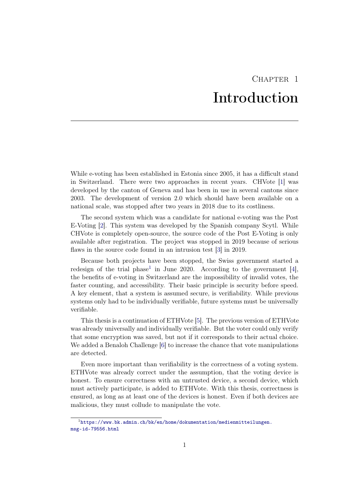## CHAPTER<sub>1</sub> Introduction

<span id="page-5-0"></span>While e-voting has been established in Estonia since 2005, it has a difficult stand in Switzerland. There were two approaches in recent years. CHVote [\[1\]](#page-26-1) was developed by the canton of Geneva and has been in use in several cantons since 2003. The development of version 2.0 which should have been available on a national scale, was stopped after two years in 2018 due to its costliness.

The second system which was a candidate for national e-voting was the Post E-Voting [\[2\]](#page-26-2). This system was developed by the Spanish company Scytl. While CHVote is completely open-source, the source code of the Post E-Voting is only available after registration. The project was stopped in 2019 because of serious flaws in the source code found in an intrusion test [\[3\]](#page-26-3) in 2019.

Because both projects have been stopped, the Swiss government started a redesign of the trial phase<sup>[1](#page-5-1)</sup> in June 2020. According to the government [\[4\]](#page-26-4), the benefits of e-voting in Switzerland are the impossibility of invalid votes, the faster counting, and accessibility. Their basic principle is security before speed. A key element, that a system is assumed secure, is verifiability. While previous systems only had to be individually verifiable, future systems must be universally verifiable.

This thesis is a continuation of ETHVote [\[5\]](#page-26-5). The previous version of ETHVote was already universally and individually verifiable. But the voter could only verify that some encryption was saved, but not if it corresponds to their actual choice. We added a Benaloh Challenge [\[6\]](#page-26-6) to increase the chance that vote manipulations are detected.

Even more important than verifiability is the correctness of a voting system. ETHVote was already correct under the assumption, that the voting device is honest. To ensure correctness with an untrusted device, a second device, which must actively participate, is added to ETHVote. With this thesis, correctness is ensured, as long as at least one of the devices is honest. Even if both devices are malicious, they must collude to manipulate the vote.

<span id="page-5-1"></span><sup>1</sup> [https://www.bk.admin.ch/bk/en/home/dokumentation/medienmitteilungen.](https://www.bk.admin.ch/bk/en/home/dokumentation/medienmitteilungen.msg-id-79556.html) [msg-id-79556.html](https://www.bk.admin.ch/bk/en/home/dokumentation/medienmitteilungen.msg-id-79556.html)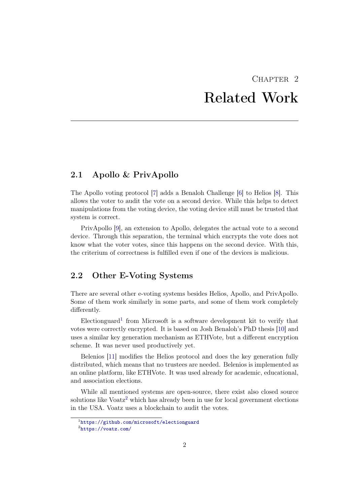## $CHAPTER$  2 Related Work

## <span id="page-6-1"></span><span id="page-6-0"></span>2.1 Apollo & PrivApollo

The Apollo voting protocol [\[7\]](#page-26-7) adds a Benaloh Challenge [\[6\]](#page-26-6) to Helios [\[8\]](#page-26-8). This allows the voter to audit the vote on a second device. While this helps to detect manipulations from the voting device, the voting device still must be trusted that system is correct.

PrivApollo [\[9\]](#page-26-9), an extension to Apollo, delegates the actual vote to a second device. Through this separation, the terminal which encrypts the vote does not know what the voter votes, since this happens on the second device. With this, the criterium of correctness is fulfilled even if one of the devices is malicious.

## <span id="page-6-2"></span>2.2 Other E-Voting Systems

There are several other e-voting systems besides Helios, Apollo, and PrivApollo. Some of them work similarly in some parts, and some of them work completely differently.

Electionguard<sup>[1](#page-6-3)</sup> from Microsoft is a software development kit to verify that votes were correctly encrypted. It is based on Josh Benaloh's PhD thesis [\[10\]](#page-27-0) and uses a similar key generation mechanism as ETHVote, but a different encryption scheme. It was never used productively yet.

Belenios [\[11\]](#page-27-1) modifies the Helios protocol and does the key generation fully distributed, which means that no trustees are needed. Belenios is implemented as an online platform, like ETHVote. It was used already for academic, educational, and association elections.

While all mentioned systems are open-source, there exist also closed source solutions like Voatz<sup>[2](#page-6-4)</sup> which has already been in use for local government elections in the USA. Voatz uses a blockchain to audit the votes.

<span id="page-6-3"></span><sup>1</sup> <https://github.com/microsoft/electionguard>

<span id="page-6-4"></span> $^{2}$ <https://voatz.com/>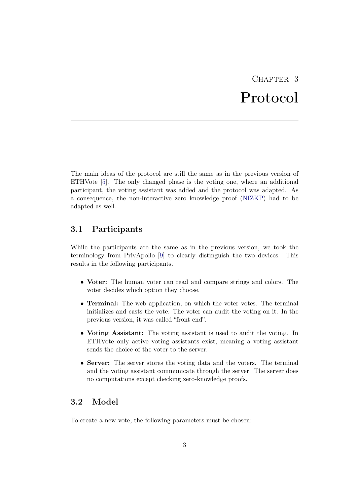# CHAPTER<sub>3</sub> Protocol

<span id="page-7-3"></span><span id="page-7-0"></span>The main ideas of the protocol are still the same as in the previous version of ETHVote [\[5\]](#page-26-5). The only changed phase is the voting one, where an additional participant, the voting assistant was added and the protocol was adapted. As a consequence, the non-interactive zero knowledge proof [\(NIZKP\)](#page-28-1) had to be adapted as well.

## <span id="page-7-1"></span>3.1 Participants

While the participants are the same as in the previous version, we took the terminology from PrivApollo [\[9\]](#page-26-9) to clearly distinguish the two devices. This results in the following participants.

- Voter: The human voter can read and compare strings and colors. The voter decides which option they choose.
- Terminal: The web application, on which the voter votes. The terminal initializes and casts the vote. The voter can audit the voting on it. In the previous version, it was called "front end".
- Voting Assistant: The voting assistant is used to audit the voting. In ETHVote only active voting assistants exist, meaning a voting assistant sends the choice of the voter to the server.
- Server: The server stores the voting data and the voters. The terminal and the voting assistant communicate through the server. The server does no computations except checking zero-knowledge proofs.

## <span id="page-7-2"></span>3.2 Model

To create a new vote, the following parameters must be chosen: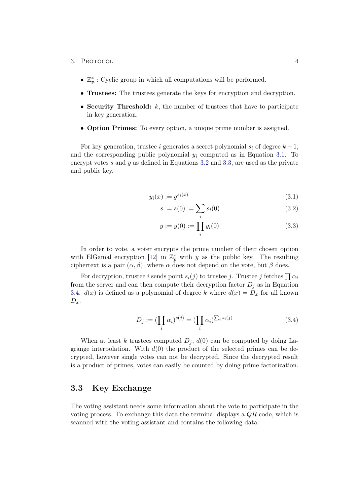- $\mathbb{Z}_p^*$ : Cyclic group in which all computations will be performed.
- Trustees: The trustees generate the keys for encryption and decryption.
- Security Threshold:  $k$ , the number of trustees that have to participate in key generation.
- Option Primes: To every option, a unique prime number is assigned.

For key generation, trustee i generates a secret polynomial  $s_i$  of degree  $k-1$ , and the corresponding public polynomial  $y_i$  computed as in Equation [3.1.](#page-8-1) To encrypt votes  $s$  and  $y$  as defined in Equations [3.2](#page-8-2) and [3.3,](#page-8-3) are used as the private and public key.

$$
y_i(x) := g^{s_i(x)}\tag{3.1}
$$

<span id="page-8-2"></span><span id="page-8-1"></span>
$$
s := s(0) := \sum_{i} s_i(0) \tag{3.2}
$$

<span id="page-8-3"></span>
$$
y := y(0) := \prod_{i} y_i(0)
$$
\n(3.3)

In order to vote, a voter encrypts the prime number of their chosen option with ElGamal encryption [\[12\]](#page-27-2) in  $\mathbb{Z}_p^*$  with y as the public key. The resulting ciphertext is a pair  $(\alpha, \beta)$ , where  $\alpha$  does not depend on the vote, but  $\beta$  does.

For decryption, trustee i sends point  $s_i(j)$  to trustee j. Trustee j fetches  $\prod \alpha_i$ from the server and can then compute their decryption factor  $D_i$  as in Equation [3.4.](#page-8-4)  $d(x)$  is defined as a polynomial of degree k where  $d(x) = D_x$  for all known  $D_x$ .

<span id="page-8-4"></span>
$$
D_j := \left(\prod_i \alpha_i\right)^{s(j)} = \left(\prod_i \alpha_i\right)^{\sum_i s_i(j)}\tag{3.4}
$$

When at least k trustees computed  $D_i$ ,  $d(0)$  can be computed by doing Lagrange interpolation. With  $d(0)$  the product of the selected primes can be decrypted, however single votes can not be decrypted. Since the decrypted result is a product of primes, votes can easily be counted by doing prime factorization.

### <span id="page-8-0"></span>3.3 Key Exchange

The voting assistant needs some information about the vote to participate in the voting process. To exchange this data the terminal displays a  $QR$  code, which is scanned with the voting assistant and contains the following data: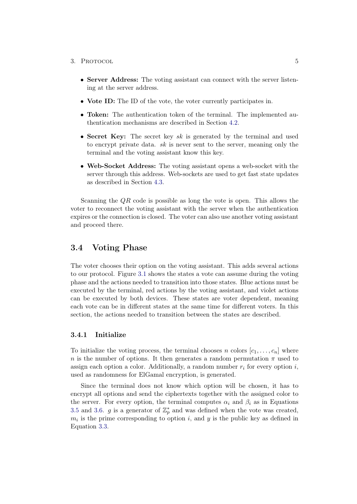- 3. Protocol 5
	- Server Address: The voting assistant can connect with the server listening at the server address.
	- Vote ID: The ID of the vote, the voter currently participates in.
	- Token: The authentication token of the terminal. The implemented authentication mechanisms are described in Section [4.2.](#page-15-1)
	- Secret Key: The secret key  $sk$  is generated by the terminal and used to encrypt private data. sk is never sent to the server, meaning only the terminal and the voting assistant know this key.
	- Web-Socket Address: The voting assistant opens a web-socket with the server through this address. Web-sockets are used to get fast state updates as described in Section [4.3.](#page-17-0)

Scanning the  $QR$  code is possible as long the vote is open. This allows the voter to reconnect the voting assistant with the server when the authentication expires or the connection is closed. The voter can also use another voting assistant and proceed there.

## <span id="page-9-0"></span>3.4 Voting Phase

The voter chooses their option on the voting assistant. This adds several actions to our protocol. Figure [3.1](#page-10-1) shows the states a vote can assume during the voting phase and the actions needed to transition into those states. Blue actions must be executed by the terminal, red actions by the voting assistant, and violet actions can be executed by both devices. These states are voter dependent, meaning each vote can be in different states at the same time for different voters. In this section, the actions needed to transition between the states are described.

#### <span id="page-9-1"></span>3.4.1 Initialize

To initialize the voting process, the terminal chooses n colors  $[c_1, \ldots, c_n]$  where n is the number of options. It then generates a random permutation  $\pi$  used to assign each option a color. Additionally, a random number  $r_i$  for every option i, used as randomness for ElGamal encryption, is generated.

Since the terminal does not know which option will be chosen, it has to encrypt all options and send the ciphertexts together with the assigned color to the server. For every option, the terminal computes  $\alpha_i$  and  $\beta_i$  as in Equations [3.5](#page-10-2) and [3.6.](#page-10-3) g is a generator of  $\mathbb{Z}_p^*$  and was defined when the vote was created,  $m_i$  is the prime corresponding to option i, and y is the public key as defined in Equation [3.3.](#page-8-3)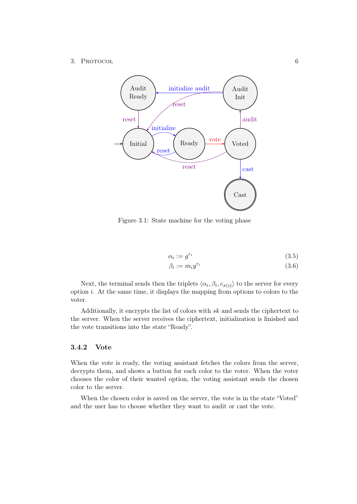<span id="page-10-1"></span>

Figure 3.1: State machine for the voting phase

<span id="page-10-2"></span>
$$
\alpha_i := g^{r_i} \tag{3.5}
$$

<span id="page-10-3"></span>
$$
\beta_i := m_i y^{r_i} \tag{3.6}
$$

Next, the terminal sends then the triplets  $\langle \alpha_i, \beta_i, c_{\pi(i)} \rangle$  to the server for every option i. At the same time, it displays the mapping from options to colors to the voter.

Additionally, it encrypts the list of colors with  $sk$  and sends the ciphertext to the server. When the server receives the ciphertext, initialization is finished and the vote transitions into the state "Ready".

#### <span id="page-10-0"></span>3.4.2 Vote

When the vote is ready, the voting assistant fetches the colors from the server, decrypts them, and shows a button for each color to the voter. When the voter chooses the color of their wanted option, the voting assistant sends the chosen color to the server.

When the chosen color is saved on the server, the vote is in the state "Voted" and the user has to choose whether they want to audit or cast the vote.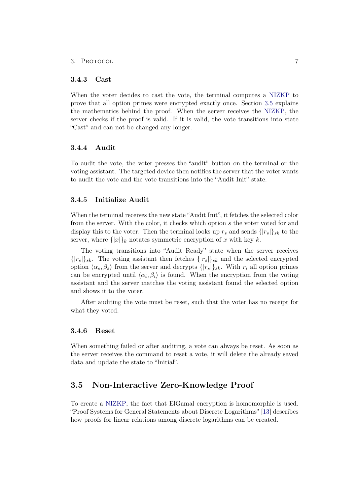#### <span id="page-11-0"></span>3.4.3 Cast

When the voter decides to cast the vote, the terminal computes a [NIZKP](#page-28-1) to prove that all option primes were encrypted exactly once. Section [3.5](#page-11-4) explains the mathematics behind the proof. When the server receives the [NIZKP,](#page-28-1) the server checks if the proof is valid. If it is valid, the vote transitions into state "Cast" and can not be changed any longer.

#### <span id="page-11-1"></span>3.4.4 Audit

To audit the vote, the voter presses the "audit" button on the terminal or the voting assistant. The targeted device then notifies the server that the voter wants to audit the vote and the vote transitions into the "Audit Init" state.

#### <span id="page-11-2"></span>3.4.5 Initialize Audit

When the terminal receives the new state "Audit Init", it fetches the selected color from the server. With the color, it checks which option s the voter voted for and display this to the voter. Then the terminal looks up  $r_s$  and sends  $\{|r_s|\}_{sk}$  to the server, where  $\{|x|\}_k$  notates symmetric encryption of x with key k.

The voting transitions into "Audit Ready" state when the server receives  ${|r_s|}\s_{sk}$ . The voting assistant then fetches  ${|r_s|}\s_{sk}$  and the selected encrypted option  $\langle \alpha_s, \beta_s \rangle$  from the server and decrypts  $\{|r_s|\}_{sk}$ . With  $r_i$  all option primes can be encrypted until  $\langle \alpha_i, \beta_i \rangle$  is found. When the encryption from the voting assistant and the server matches the voting assistant found the selected option and shows it to the voter.

After auditing the vote must be reset, such that the voter has no receipt for what they voted.

#### <span id="page-11-3"></span>3.4.6 Reset

When something failed or after auditing, a vote can always be reset. As soon as the server receives the command to reset a vote, it will delete the already saved data and update the state to "Initial".

### <span id="page-11-4"></span>3.5 Non-Interactive Zero-Knowledge Proof

To create a [NIZKP,](#page-28-1) the fact that ElGamal encryption is homomorphic is used. "Proof Systems for General Statements about Discrete Logarithms" [\[13\]](#page-27-3) describes how proofs for linear relations among discrete logarithms can be created.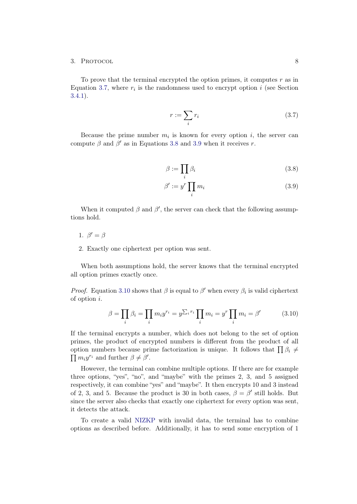To prove that the terminal encrypted the option primes, it computes  $r$  as in Equation [3.7,](#page-12-0) where  $r_i$  is the randomness used to encrypt option i (see Section [3.4.1\)](#page-9-1).

<span id="page-12-0"></span>
$$
r := \sum_{i} r_i \tag{3.7}
$$

Because the prime number  $m_i$  is known for every option i, the server can compute  $\beta$  and  $\beta'$  as in Equations [3.8](#page-12-1) and [3.9](#page-12-2) when it receives r.

<span id="page-12-2"></span><span id="page-12-1"></span>
$$
\beta := \prod_i \beta_i \tag{3.8}
$$

$$
\beta' := y^r \prod_i m_i \tag{3.9}
$$

When it computed  $\beta$  and  $\beta'$ , the server can check that the following assumptions hold.

- 1.  $\beta' = \beta$
- 2. Exactly one ciphertext per option was sent.

When both assumptions hold, the server knows that the terminal encrypted all option primes exactly once.

*Proof.* Equation [3.10](#page-12-3) shows that  $\beta$  is equal to  $\beta'$  when every  $\beta_i$  is valid ciphertext of option i.

<span id="page-12-3"></span>
$$
\beta = \prod_i \beta_i = \prod_i m_i y^{r_i} = y^{\sum_i r_i} \prod_i m_i = y^r \prod_i m_i = \beta' \tag{3.10}
$$

If the terminal encrypts a number, which does not belong to the set of option primes, the product of encrypted numbers is different from the product of all option numbers because prime factorization is unique. It follows that  $\prod \beta_i \neq$  $\prod m_i y^{r_i}$  and further  $\beta \neq \beta'$ .

However, the terminal can combine multiple options. If there are for example three options, "yes", "no", and "maybe" with the primes 2, 3, and 5 assigned respectively, it can combine "yes" and "maybe". It then encrypts 10 and 3 instead of 2, 3, and 5. Because the product is 30 in both cases,  $\beta = \beta'$  still holds. But since the server also checks that exactly one ciphertext for every option was sent, it detects the attack.

To create a valid [NIZKP](#page-28-1) with invalid data, the terminal has to combine options as described before. Additionally, it has to send some encryption of 1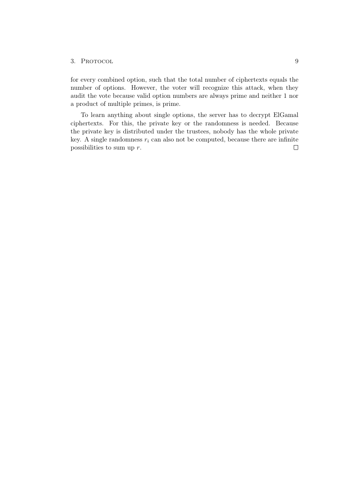for every combined option, such that the total number of ciphertexts equals the number of options. However, the voter will recognize this attack, when they audit the vote because valid option numbers are always prime and neither 1 nor a product of multiple primes, is prime.

To learn anything about single options, the server has to decrypt ElGamal ciphertexts. For this, the private key or the randomness is needed. Because the private key is distributed under the trustees, nobody has the whole private key. A single randomness  $r_i$  can also not be computed, because there are infinite possibilities to sum up  $r$ .  $\Box$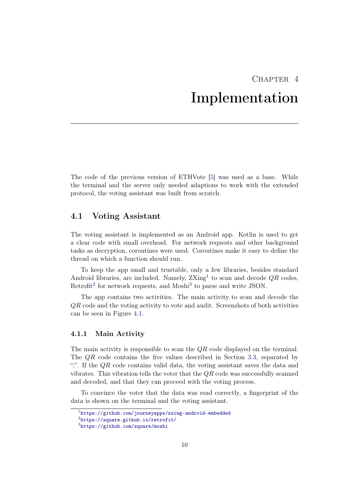## $CHAPTER$  4 Implementation

<span id="page-14-0"></span>The code of the previous version of ETHVote [\[5\]](#page-26-5) was used as a base. While the terminal and the server only needed adaptions to work with the extended protocol, the voting assistant was built from scratch.

## <span id="page-14-1"></span>4.1 Voting Assistant

The voting assistant is implemented as an Android app. Kotlin is used to get a clear code with small overhead. For network requests and other background tasks as decryption, coroutines were used. Coroutines make it easy to define the thread on which a function should run.

To keep the app small and trustable, only a few libraries, besides standard Android libraries, are included. Namely,  $ZXing<sup>1</sup>$  $ZXing<sup>1</sup>$  $ZXing<sup>1</sup>$  to scan and decode  $QR$  codes, Retrofit<sup>[2](#page-14-4)</sup> for network requests, and Moshi<sup>[3](#page-14-5)</sup> to parse and write JSON.

The app contains two activities. The main activity to scan and decode the QR code and the voting activity to vote and audit. Screenshots of both activities can be seen in Figure [4.1.](#page-15-2)

#### <span id="page-14-2"></span>4.1.1 Main Activity

The main activity is responsible to scan the  $QR$  code displayed on the terminal. The QR code contains the five values described in Section [3.3,](#page-8-0) separated by ";". If the QR code contains valid data, the voting assistant saves the data and vibrates. This vibration tells the voter that the  $QR$  code was successfully scanned and decoded, and that they can proceed with the voting process.

To convince the voter that the data was read correctly, a fingerprint of the data is shown on the terminal and the voting assistant.

<span id="page-14-3"></span> $1$ <https://github.com/journeyapps/zxing-android-embedded>

<span id="page-14-4"></span> $^{2}$ <https://square.github.io/retrofit/>

<span id="page-14-5"></span> $^3$ <https://github.com/square/moshi>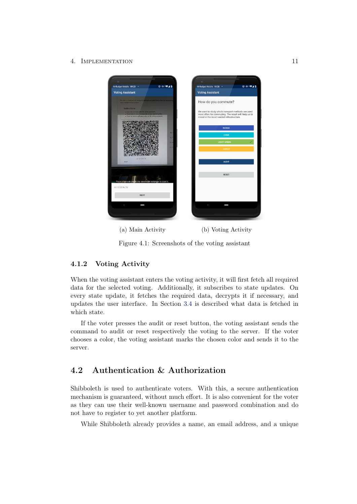#### <span id="page-15-2"></span>4. IMPLEMENTATION 11



(a) Main Activity (b) Voting Activity

Figure 4.1: Screenshots of the voting assistant

#### <span id="page-15-0"></span>4.1.2 Voting Activity

When the voting assistant enters the voting activity, it will first fetch all required data for the selected voting. Additionally, it subscribes to state updates. On every state update, it fetches the required data, decrypts it if necessary, and updates the user interface. In Section [3.4](#page-9-0) is described what data is fetched in which state.

If the voter presses the audit or reset button, the voting assistant sends the command to audit or reset respectively the voting to the server. If the voter chooses a color, the voting assistant marks the chosen color and sends it to the server.

## <span id="page-15-1"></span>4.2 Authentication & Authorization

Shibboleth is used to authenticate voters. With this, a secure authentication mechanism is guaranteed, without much effort. It is also convenient for the voter as they can use their well-known username and password combination and do not have to register to yet another platform.

While Shibboleth already provides a name, an email address, and a unique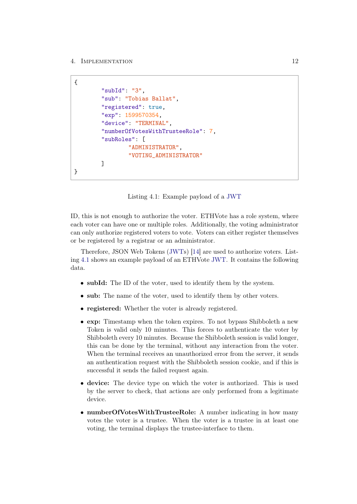```
{
        "subId": "3",
        "sub": "Tobias Ballat",
        "registered": true,
        "exp": 1599570354,
        "device": "TERMINAL",
        "numberOfVotesWithTrusteeRole": 7,
        "subRoles": [
                 "ADMINISTRATOR",
                 "VOTING_ADMINISTRATOR"
        ]
}
```
Listing 4.1: Example payload of a [JWT](#page-28-2)

ID, this is not enough to authorize the voter. ETHVote has a role system, where each voter can have one or multiple roles. Additionally, the voting administrator can only authorize registered voters to vote. Voters can either register themselves or be registered by a registrar or an administrator.

<span id="page-16-1"></span>Therefore, JSON Web Tokens [\(JWTs](#page-28-2)) [\[14\]](#page-27-4) are used to authorize voters. Listing [4.1](#page-16-0) shows an example payload of an ETHVote [JWT.](#page-28-2) It contains the following data.

- subId: The ID of the voter, used to identify them by the system.
- sub: The name of the voter, used to identify them by other voters.
- registered: Whether the voter is already registered.
- exp: Timestamp when the token expires. To not bypass Shibboleth a new Token is valid only 10 minutes. This forces to authenticate the voter by Shibboleth every 10 minutes. Because the Shibboleth session is valid longer, this can be done by the terminal, without any interaction from the voter. When the terminal receives an unauthorized error from the server, it sends an authentication request with the Shibboleth session cookie, and if this is successful it sends the failed request again.
- device: The device type on which the voter is authorized. This is used by the server to check, that actions are only performed from a legitimate device.
- numberOfVotesWithTrusteeRole: A number indicating in how many votes the voter is a trustee. When the voter is a trustee in at least one voting, the terminal displays the trustee-interface to them.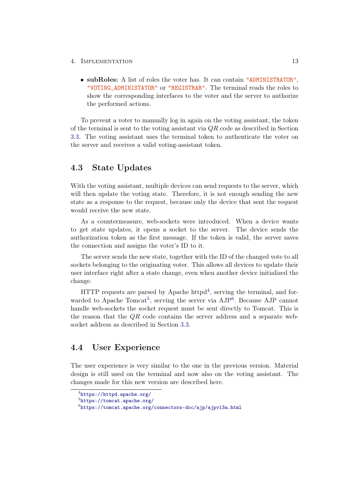#### 4. Implementation 13

• subRoles: A list of roles the voter has. It can contain "ADMINISTRATOR", "VOTING\_ADMINISTATOR" or "REGISTRAR". The terminal reads the roles to show the corresponding interfaces to the voter and the server to authorize the performed actions.

To prevent a voter to manually log in again on the voting assistant, the token of the terminal is sent to the voting assistant via  $QR$  code as described in Section [3.3.](#page-8-0) The voting assistant uses the terminal token to authenticate the voter on the server and receives a valid voting-assistant token.

## <span id="page-17-0"></span>4.3 State Updates

With the voting assistant, multiple devices can send requests to the server, which will then update the voting state. Therefore, it is not enough sending the new state as a response to the request, because only the device that sent the request would receive the new state.

As a countermeasure, web-sockets were introduced. When a device wants to get state updates, it opens a socket to the server. The device sends the authorization token as the first message. If the token is valid, the server saves the connection and assigns the voter's ID to it.

The server sends the new state, together with the ID of the changed vote to all sockets belonging to the originating voter. This allows all devices to update their user interface right after a state change, even when another device initialized the change.

HTTP requests are parsed by Apache httpd[4](#page-17-2) , serving the terminal, and for-warded to Apache Tomcat<sup>[5](#page-17-3)</sup>, serving the server via AJP<sup>[6](#page-17-4)</sup>. Because AJP cannot handle web-sockets the socket request must be sent directly to Tomcat. This is the reason that the  $QR$  code contains the server address and a separate websocket address as described in Section [3.3.](#page-8-0)

## <span id="page-17-1"></span>4.4 User Experience

The user experience is very similar to the one in the previous version. Material design is still used on the terminal and now also on the voting assistant. The changes made for this new version are described here.

<span id="page-17-2"></span> $^4$ <https://httpd.apache.org/>

<span id="page-17-3"></span> $^{5}$ <https://tomcat.apache.org/>

<span id="page-17-4"></span> $^6$ <https://tomcat.apache.org/connectors-doc/ajp/ajpv13a.html>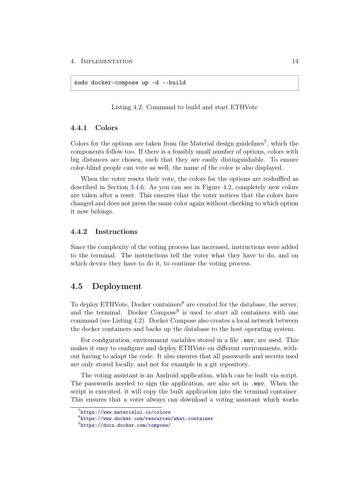#### 4. Implementation 14

<span id="page-18-6"></span>sudo docker-compose up -d --build

Listing 4.2: Command to build and start ETHVote

#### <span id="page-18-0"></span>4.4.1 Colors

Colors for the options are taken from the Material design guidelines<sup>[7](#page-18-3)</sup>, which the components follow too. If there is a feasibly small number of options, colors with big distances are chosen, such that they are easily distinguishable. To ensure color-blind people can vote as well, the name of the color is also displayed.

When the voter resets their vote, the colors for the options are reshuffled as described in Section [3.4.6.](#page-11-3) As you can see in Figure [4.2,](#page-19-0) completely new colors are taken after a reset. This ensures that the voter notices that the colors have changed and does not press the same color again without checking to which option it now belongs.

#### <span id="page-18-1"></span>4.4.2 Instructions

Since the complexity of the voting process has increased, instructions were added to the terminal. The instructions tell the voter what they have to do, and on which device they have to do it, to continue the voting process.

### <span id="page-18-2"></span>4.5 Deployment

To deploy ETHVote, Docker containers<sup>[8](#page-18-4)</sup> are created for the database, the server, and the terminal. Docker Compose<sup>[9](#page-18-5)</sup> is used to start all containers with one command (see Listing [4.2\)](#page-18-6). Docker Compose also creates a local network between the docker containers and backs up the database to the host operating system.

For configuration, environment variables stored in a file .env, are used. This makes it easy to configure and deploy ETHVote on different environments, without having to adapt the code. It also ensures that all passwords and secrets used are only stored locally, and not for example in a git repository.

The voting assistant is an Android application, which can be built via script. The passwords needed to sign the application, are also set in .env. When the script is executed, it will copy the built application into the terminal container. This ensures that a voter always can download a voting assistant which works

<span id="page-18-3"></span><sup>7</sup> <https://www.materialui.co/colors>

<span id="page-18-4"></span> ${}^{8}$ <https://www.docker.com/resources/what-container>

<span id="page-18-5"></span> $^9$ <https://docs.docker.com/compose/>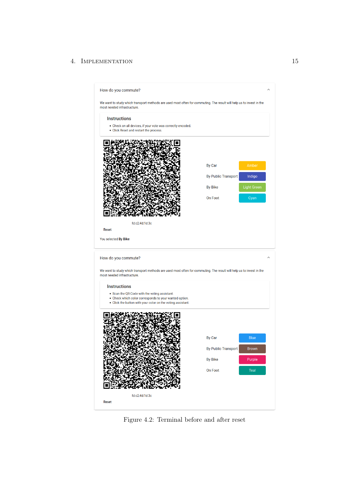#### 4. IMPLEMENTATION 15

<span id="page-19-0"></span>

Figure 4.2: Terminal before and after reset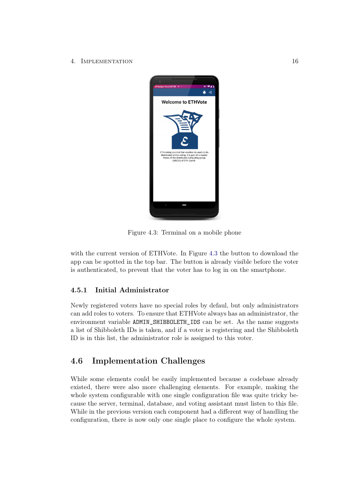#### <span id="page-20-2"></span>4. Implementation 16



Figure 4.3: Terminal on a mobile phone

with the current version of ETHVote. In Figure [4.3](#page-20-2) the button to download the app can be spotted in the top bar. The button is already visible before the voter is authenticated, to prevent that the voter has to log in on the smartphone.

### <span id="page-20-0"></span>4.5.1 Initial Administrator

Newly registered voters have no special roles by defaul, but only administrators can add roles to voters. To ensure that ETHVote always has an administrator, the environment variable ADMIN\_SHIBBOLETH\_IDS can be set. As the name suggests a list of Shibboleth IDs is taken, and if a voter is registering and the Shibboleth ID is in this list, the administrator role is assigned to this voter.

## <span id="page-20-1"></span>4.6 Implementation Challenges

While some elements could be easily implemented because a codebase already existed, there were also more challenging elements. For example, making the whole system configurable with one single configuration file was quite tricky because the server, terminal, database, and voting assistant must listen to this file. While in the previous version each component had a different way of handling the configuration, there is now only one single place to configure the whole system.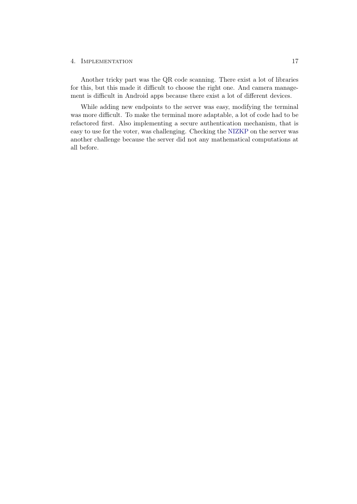#### 4. Implementation 17

Another tricky part was the QR code scanning. There exist a lot of libraries for this, but this made it difficult to choose the right one. And camera management is difficult in Android apps because there exist a lot of different devices.

While adding new endpoints to the server was easy, modifying the terminal was more difficult. To make the terminal more adaptable, a lot of code had to be refactored first. Also implementing a secure authentication mechanism, that is easy to use for the voter, was challenging. Checking the [NIZKP](#page-28-1) on the server was another challenge because the server did not any mathematical computations at all before.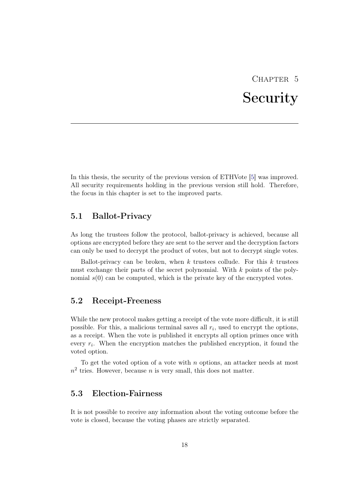# CHAPTER<sub>5</sub> Security

<span id="page-22-0"></span>In this thesis, the security of the previous version of ETHVote [\[5\]](#page-26-5) was improved. All security requirements holding in the previous version still hold. Therefore, the focus in this chapter is set to the improved parts.

## <span id="page-22-1"></span>5.1 Ballot-Privacy

As long the trustees follow the protocol, ballot-privacy is achieved, because all options are encrypted before they are sent to the server and the decryption factors can only be used to decrypt the product of votes, but not to decrypt single votes.

Ballot-privacy can be broken, when k trustees collude. For this k trustees must exchange their parts of the secret polynomial. With k points of the polynomial  $s(0)$  can be computed, which is the private key of the encrypted votes.

## <span id="page-22-2"></span>5.2 Receipt-Freeness

While the new protocol makes getting a receipt of the vote more difficult, it is still possible. For this, a malicious terminal saves all  $r_i$ , used to encrypt the options, as a receipt. When the vote is published it encrypts all option primes once with every  $r_i$ . When the encryption matches the published encryption, it found the voted option.

To get the voted option of a vote with  $n$  options, an attacker needs at most  $n^2$  tries. However, because n is very small, this does not matter.

### <span id="page-22-3"></span>5.3 Election-Fairness

It is not possible to receive any information about the voting outcome before the vote is closed, because the voting phases are strictly separated.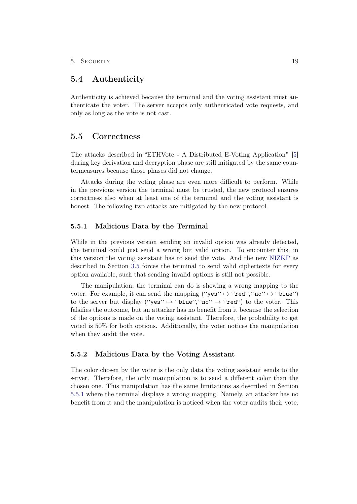## <span id="page-23-0"></span>5.4 Authenticity

Authenticity is achieved because the terminal and the voting assistant must authenticate the voter. The server accepts only authenticated vote requests, and only as long as the vote is not cast.

### <span id="page-23-1"></span>5.5 Correctness

The attacks described in "ETHVote - A Distributed E-Voting Application" [\[5\]](#page-26-5) during key derivation and decryption phase are still mitigated by the same countermeasures because those phases did not change.

Attacks during the voting phase are even more difficult to perform. While in the previous version the terminal must be trusted, the new protocol ensures correctness also when at least one of the terminal and the voting assistant is honest. The following two attacks are mitigated by the new protocol.

#### <span id="page-23-2"></span>5.5.1 Malicious Data by the Terminal

While in the previous version sending an invalid option was already detected, the terminal could just send a wrong but valid option. To encounter this, in this version the voting assistant has to send the vote. And the new [NIZKP](#page-28-1) as described in Section [3.5](#page-11-4) forces the terminal to send valid ciphertexts for every option available, such that sending invalid options is still not possible.

The manipulation, the terminal can do is showing a wrong mapping to the voter. For example, it can send the mapping  $("yes" \mapsto "red", "no" \mapsto "blue")$ to the server but display ("yes"  $\mapsto$  "blue", "no"  $\mapsto$  "red") to the voter. This falsifies the outcome, but an attacker has no benefit from it because the selection of the options is made on the voting assistant. Therefore, the probability to get voted is 50% for both options. Additionally, the voter notices the manipulation when they audit the vote.

#### <span id="page-23-3"></span>5.5.2 Malicious Data by the Voting Assistant

The color chosen by the voter is the only data the voting assistant sends to the server. Therefore, the only manipulation is to send a different color than the chosen one. This manipulation has the same limitations as described in Section [5.5.1](#page-23-2) where the terminal displays a wrong mapping. Namely, an attacker has no benefit from it and the manipulation is noticed when the voter audits their vote.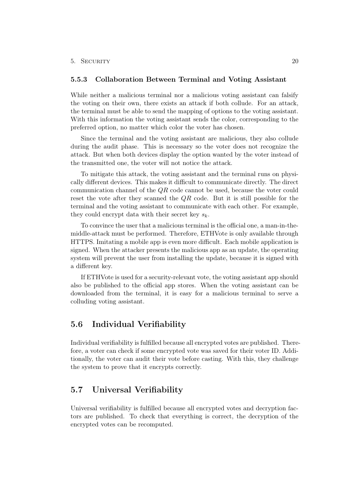#### <span id="page-24-0"></span>5.5.3 Collaboration Between Terminal and Voting Assistant

While neither a malicious terminal nor a malicious voting assistant can falsify the voting on their own, there exists an attack if both collude. For an attack, the terminal must be able to send the mapping of options to the voting assistant. With this information the voting assistant sends the color, corresponding to the preferred option, no matter which color the voter has chosen.

Since the terminal and the voting assistant are malicious, they also collude during the audit phase. This is necessary so the voter does not recognize the attack. But when both devices display the option wanted by the voter instead of the transmitted one, the voter will not notice the attack.

To mitigate this attack, the voting assistant and the terminal runs on physically different devices. This makes it difficult to communicate directly. The direct communication channel of the QR code cannot be used, because the voter could reset the vote after they scanned the  $QR$  code. But it is still possible for the terminal and the voting assistant to communicate with each other. For example, they could encrypt data with their secret key  $s_k$ .

To convince the user that a malicious terminal is the official one, a man-in-themiddle-attack must be performed. Therefore, ETHVote is only available through HTTPS. Imitating a mobile app is even more difficult. Each mobile application is signed. When the attacker presents the malicious app as an update, the operating system will prevent the user from installing the update, because it is signed with a different key.

If ETHVote is used for a security-relevant vote, the voting assistant app should also be published to the official app stores. When the voting assistant can be downloaded from the terminal, it is easy for a malicious terminal to serve a colluding voting assistant.

## <span id="page-24-1"></span>5.6 Individual Verifiability

Individual verifiability is fulfilled because all encrypted votes are published. Therefore, a voter can check if some encrypted vote was saved for their voter ID. Additionally, the voter can audit their vote before casting. With this, they challenge the system to prove that it encrypts correctly.

## <span id="page-24-2"></span>5.7 Universal Verifiability

Universal verifiability is fulfilled because all encrypted votes and decryption factors are published. To check that everything is correct, the decryption of the encrypted votes can be recomputed.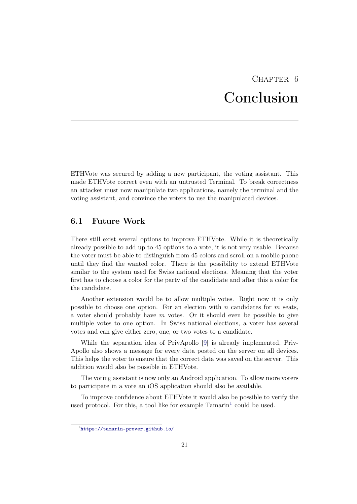## CHAPTER 6 Conclusion

<span id="page-25-0"></span>ETHVote was secured by adding a new participant, the voting assistant. This made ETHVote correct even with an untrusted Terminal. To break correctness an attacker must now manipulate two applications, namely the terminal and the voting assistant, and convince the voters to use the manipulated devices.

## <span id="page-25-1"></span>6.1 Future Work

There still exist several options to improve ETHVote. While it is theoretically already possible to add up to 45 options to a vote, it is not very usable. Because the voter must be able to distinguish from 45 colors and scroll on a mobile phone until they find the wanted color. There is the possibility to extend ETHVote similar to the system used for Swiss national elections. Meaning that the voter first has to choose a color for the party of the candidate and after this a color for the candidate.

Another extension would be to allow multiple votes. Right now it is only possible to choose one option. For an election with n candidates for  $m$  seats, a voter should probably have  $m$  votes. Or it should even be possible to give multiple votes to one option. In Swiss national elections, a voter has several votes and can give either zero, one, or two votes to a candidate.

While the separation idea of PrivApollo [\[9\]](#page-26-9) is already implemented, Priv-Apollo also shows a message for every data posted on the server on all devices. This helps the voter to ensure that the correct data was saved on the server. This addition would also be possible in ETHVote.

The voting assistant is now only an Android application. To allow more voters to participate in a vote an iOS application should also be available.

To improve confidence about ETHVote it would also be possible to verify the used protocol. For this, a tool like for example  $Tamanin<sup>1</sup>$  $Tamanin<sup>1</sup>$  $Tamanin<sup>1</sup>$  could be used.

<span id="page-25-2"></span><sup>1</sup> <https://tamarin-prover.github.io/>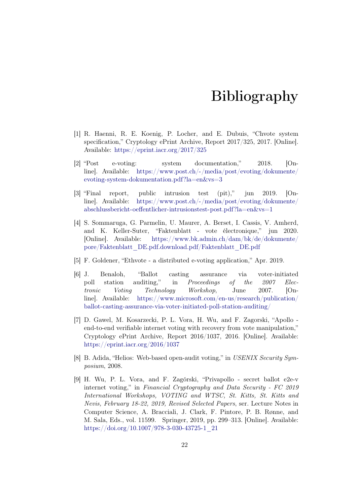## Bibliography

- <span id="page-26-1"></span><span id="page-26-0"></span>[1] R. Haenni, R. E. Koenig, P. Locher, and E. Dubuis, "Chvote system specification," Cryptology ePrint Archive, Report 2017/325, 2017. [Online]. Available: <https://eprint.iacr.org/2017/325>
- <span id="page-26-2"></span>[2] "Post e-voting: system documentation," 2018. [Online]. Available: [https://www.post.ch/-/media/post/evoting/dokumente/](https://www.post.ch/-/media/post/evoting/dokumente/evoting-system-dokumentation.pdf?la=en&vs=3) [evoting-system-dokumentation.pdf?la=en&vs=3](https://www.post.ch/-/media/post/evoting/dokumente/evoting-system-dokumentation.pdf?la=en&vs=3)
- <span id="page-26-3"></span>[3] "Final report, public intrusion test (pit)," jun 2019. [Online]. Available: [https://www.post.ch/-/media/post/evoting/dokumente/](https://www.post.ch/-/media/post/evoting/dokumente/abschlussbericht-oeffentlicher-intrusionstest-post.pdf?la=en&vs=1) [abschlussbericht-oeffentlicher-intrusionstest-post.pdf?la=en&vs=1](https://www.post.ch/-/media/post/evoting/dokumente/abschlussbericht-oeffentlicher-intrusionstest-post.pdf?la=en&vs=1)
- <span id="page-26-4"></span>[4] S. Sommaruga, G. Parmelin, U. Maurer, A. Berset, I. Cassis, V. Amherd, and K. Keller-Suter, "Faktenblatt - vote électronique," jun 2020. [Online]. Available: [https://www.bk.admin.ch/dam/bk/de/dokumente/](https://www.bk.admin.ch/dam/bk/de/dokumente/pore/Faktenblatt_DE.pdf.download.pdf/Faktenblatt_DE.pdf) [pore/Faktenblatt\\_DE.pdf.download.pdf/Faktenblatt\\_DE.pdf](https://www.bk.admin.ch/dam/bk/de/dokumente/pore/Faktenblatt_DE.pdf.download.pdf/Faktenblatt_DE.pdf)
- <span id="page-26-5"></span>[5] F. Goldener, "Ethvote - a distributed e-voting application," Apr. 2019.
- <span id="page-26-6"></span>[6] J. Benaloh, "Ballot casting assurance via voter-initiated poll station auditing," in Proceedings of the 2007 Electronic Voting Technology Workshop, June 2007. [Online]. Available: [https://www.microsoft.com/en-us/research/publication/](https://www.microsoft.com/en-us/research/publication/ballot-casting-assurance-via-voter-initiated-poll-station-auditing/) [ballot-casting-assurance-via-voter-initiated-poll-station-auditing/](https://www.microsoft.com/en-us/research/publication/ballot-casting-assurance-via-voter-initiated-poll-station-auditing/)
- <span id="page-26-7"></span>[7] D. Gawel, M. Kosarzecki, P. L. Vora, H. Wu, and F. Zagorski, "Apollo end-to-end verifiable internet voting with recovery from vote manipulation," Cryptology ePrint Archive, Report 2016/1037, 2016. [Online]. Available: <https://eprint.iacr.org/2016/1037>
- <span id="page-26-8"></span>[8] B. Adida, "Helios: Web-based open-audit voting," in USENIX Security Symposium, 2008.
- <span id="page-26-9"></span>[9] H. Wu, P. L. Vora, and F. Zagórski, "Privapollo - secret ballot e2e-v internet voting," in Financial Cryptography and Data Security - FC 2019 International Workshops, VOTING and WTSC, St. Kitts, St. Kitts and Nevis, February 18-22, 2019, Revised Selected Papers, ser. Lecture Notes in Computer Science, A. Bracciali, J. Clark, F. Pintore, P. B. Rønne, and M. Sala, Eds., vol. 11599. Springer, 2019, pp. 299–313. [Online]. Available: [https://doi.org/10.1007/978-3-030-43725-1\\_21](https://doi.org/10.1007/978-3-030-43725-1_21)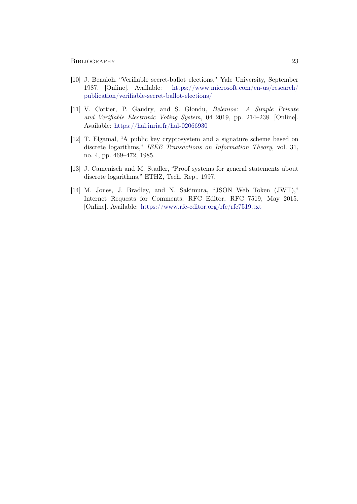- <span id="page-27-0"></span>[10] J. Benaloh, "Verifiable secret-ballot elections," Yale University, September 1987. [Online]. Available: [https://www.microsoft.com/en-us/research/](https://www.microsoft.com/en-us/research/publication/verifiable-secret-ballot-elections/) [publication/verifiable-secret-ballot-elections/](https://www.microsoft.com/en-us/research/publication/verifiable-secret-ballot-elections/)
- <span id="page-27-1"></span>[11] V. Cortier, P. Gaudry, and S. Glondu, Belenios: A Simple Private and Verifiable Electronic Voting System, 04 2019, pp. 214–238. [Online]. Available: <https://hal.inria.fr/hal-02066930>
- <span id="page-27-2"></span>[12] T. Elgamal, "A public key cryptosystem and a signature scheme based on discrete logarithms," IEEE Transactions on Information Theory, vol. 31, no. 4, pp. 469–472, 1985.
- <span id="page-27-3"></span>[13] J. Camenisch and M. Stadler, "Proof systems for general statements about discrete logarithms," ETHZ, Tech. Rep., 1997.
- <span id="page-27-4"></span>[14] M. Jones, J. Bradley, and N. Sakimura, "JSON Web Token (JWT)," Internet Requests for Comments, RFC Editor, RFC 7519, May 2015. [Online]. Available: <https://www.rfc-editor.org/rfc/rfc7519.txt>